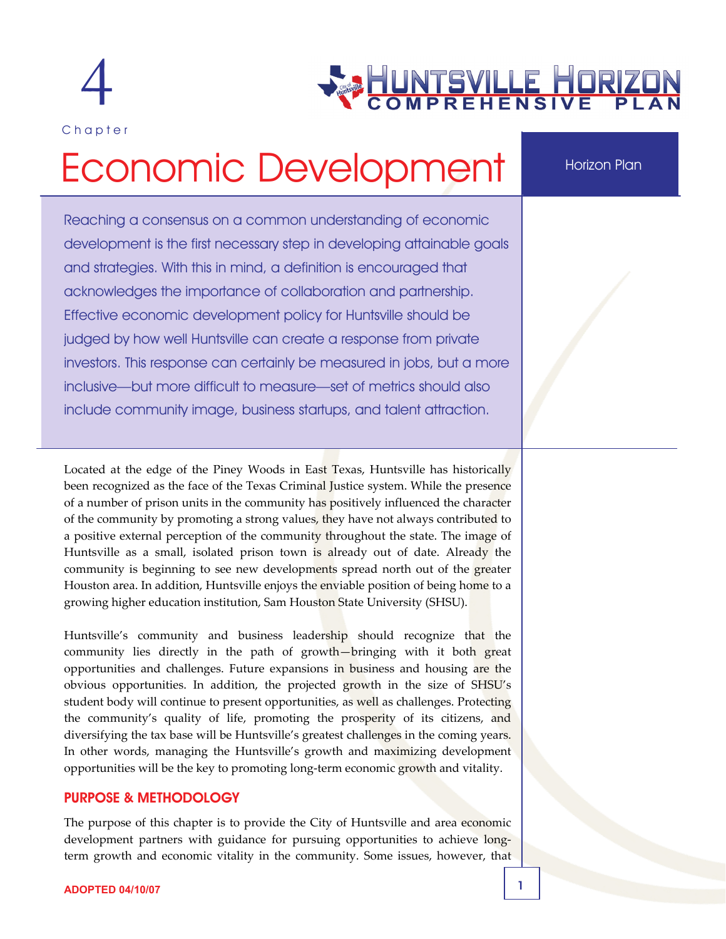

Chapter

# EUNTSVILLE HORIZ

### Horizon Plan

# Economic Development

Reaching a consensus on a common understanding of economic development is the first necessary step in developing attainable goals and strategies. With this in mind, a definition is encouraged that acknowledges the importance of collaboration and partnership. Effective economic development policy for Huntsville should be judged by how well Huntsville can create a response from private investors. This response can certainly be measured in jobs, but a more inclusive—but more difficult to measure—set of metrics should also include community image, business startups, and talent attraction.

Located at the edge of the Piney Woods in East Texas, Huntsville has historically been recognized as the face of the Texas Criminal Justice system. While the presence of a number of prison units in the community has positively influenced the character of the community by promoting a strong values, they have not always contributed to a positive external perception of the community throughout the state. The image of Huntsville as a small, isolated prison town is already out of date. Already the community is beginning to see new developments spread north out of the greater Houston area. In addition, Huntsville enjoys the enviable position of being home to a growing higher education institution, Sam Houston State University (SHSU).

Huntsville's community and business leadership should recognize that the community lies directly in the path of growth—bringing with it both great opportunities and challenges. Future expansions in business and housing are the obvious opportunities. In addition, the projected growth in the size of SHSU's student body will continue to present opportunities, as well as challenges. Protecting the community's quality of life, promoting the prosperity of its citizens, and diversifying the tax base will be Huntsville's greatest challenges in the coming years. In other words, managing the Huntsville's growth and maximizing development opportunities will be the key to promoting long‐term economic growth and vitality.

#### PURPOSE & METHODOLOGY

The purpose of this chapter is to provide the City of Huntsville and area economic development partners with guidance for pursuing opportunities to achieve longterm growth and economic vitality in the community. Some issues, however, that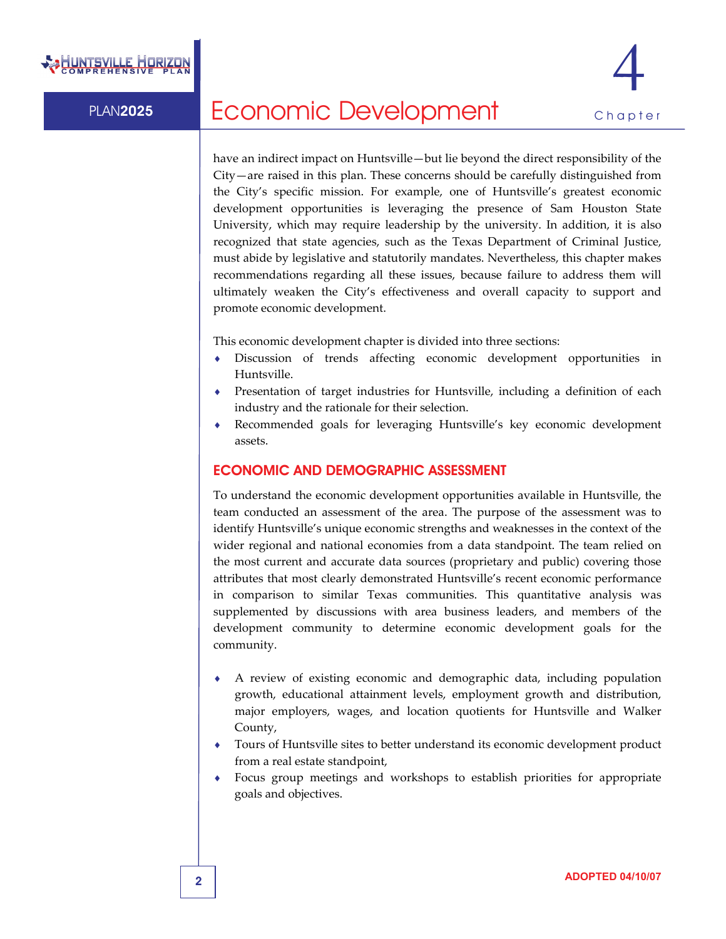

have an indirect impact on Huntsville—but lie beyond the direct responsibility of the City—are raised in this plan. These concerns should be carefully distinguished from the City's specific mission. For example, one of Huntsville's greatest economic development opportunities is leveraging the presence of Sam Houston State University, which may require leadership by the university. In addition, it is also recognized that state agencies, such as the Texas Department of Criminal Justice, must abide by legislative and statutorily mandates. Nevertheless, this chapter makes recommendations regarding all these issues, because failure to address them will ultimately weaken the City's effectiveness and overall capacity to support and promote economic development.

This economic development chapter is divided into three sections:

- ♦ Discussion of trends affecting economic development opportunities in Huntsville.
- ♦ Presentation of target industries for Huntsville, including a definition of each industry and the rationale for their selection.
- Recommended goals for leveraging Huntsville's key economic development assets.

#### ECONOMIC AND DEMOGRAPHIC ASSESSMENT

To understand the economic development opportunities available in Huntsville, the team conducted an assessment of the area. The purpose of the assessment was to identify Huntsville's unique economic strengths and weaknesses in the context of the wider regional and national economies from a data standpoint. The team relied on the most current and accurate data sources (proprietary and public) covering those attributes that most clearly demonstrated Huntsville's recent economic performance in comparison to similar Texas communities. This quantitative analysis was supplemented by discussions with area business leaders, and members of the development community to determine economic development goals for the community.

- A review of existing economic and demographic data, including population growth, educational attainment levels, employment growth and distribution, major employers, wages, and location quotients for Huntsville and Walker County,
- Tours of Huntsville sites to better understand its economic development product from a real estate standpoint,
- ♦ Focus group meetings and workshops to establish priorities for appropriate goals and objectives.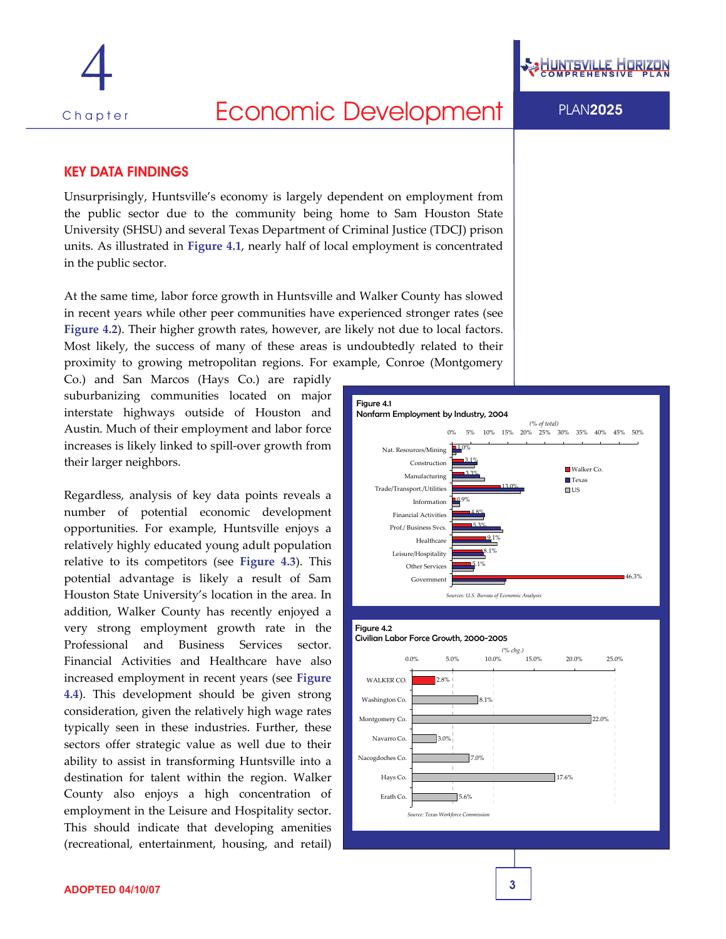

#### KEY DATA FINDINGS

Unsurprisingly, Huntsville's economy is largely dependent on employment from the public sector due to the community being home to Sam Houston State University (SHSU) and several Texas Department of Criminal Justice (TDCJ) prison units. As illustrated in **Figure 4.1**, nearly half of local employment is concentrated in the public sector.

At the same time, labor force growth in Huntsville and Walker County has slowed in recent years while other peer communities have experienced stronger rates (see **Figure 4.2**). Their higher growth rates, however, are likely not due to local factors. Most likely, the success of many of these areas is undoubtedly related to their proximity to growing metropolitan regions. For example, Conroe (Montgomery

Co.) and San Marcos (Hays Co.) are rapidly suburbanizing communities located on major interstate highways outside of Houston and Austin. Much of their employment and labor force increases is likely linked to spill‐over growth from their larger neighbors.

Regardless, analysis of key data points reveals a number of potential economic development opportunities. For example, Huntsville enjoys a relatively highly educated young adult population relative to its competitors (see **Figure 4.3**). This potential advantage is likely a result of Sam Houston State University's location in the area. In addition, Walker County has recently enjoyed a very strong employment growth rate in the Professional and Business Services sector. Financial Activities and Healthcare have also increased employment in recent years (see **Figure 4.4**). This development should be given strong consideration, given the relatively high wage rates typically seen in these industries. Further, these sectors offer strategic value as well due to their ability to assist in transforming Huntsville into a destination for talent within the region. Walker County also enjoys a high concentration of employment in the Leisure and Hospitality sector. This should indicate that developing amenities (recreational, entertainment, housing, and retail)



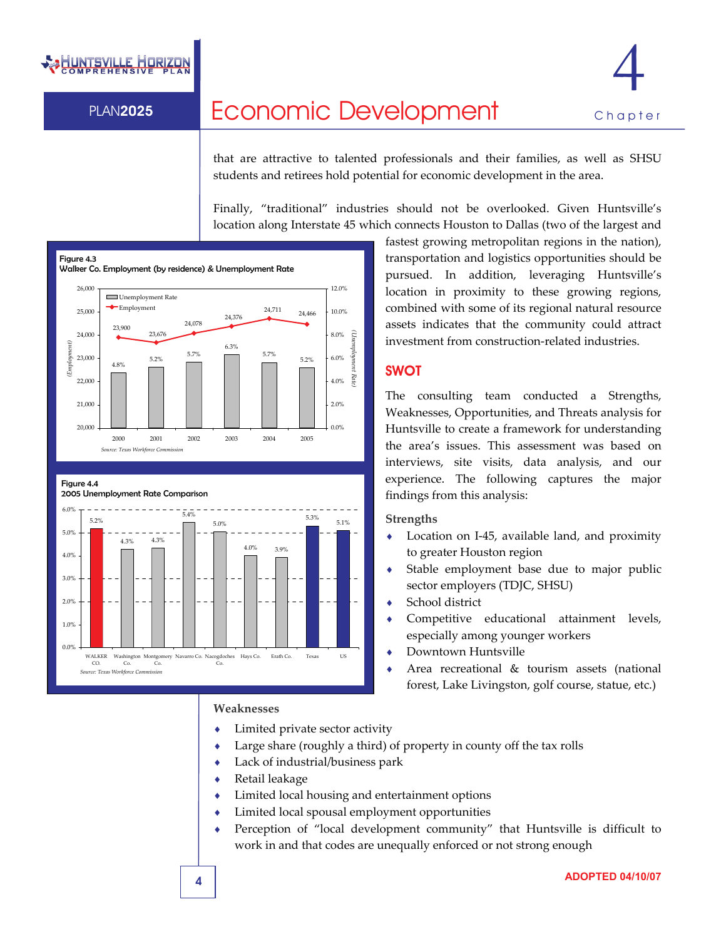## **HUNTSVILLE HORIZ**



## PLAN2025 Economic Development Chapter

that are attractive to talented professionals and their families, as well as SHSU students and retirees hold potential for economic development in the area.

Finally, "traditional" industries should not be overlooked. Given Huntsville's location along Interstate 45 which connects Houston to Dallas (two of the largest and









#### **Weaknesses**

- Limited private sector activity
- ♦ Large share (roughly a third) of property in county off the tax rolls
- Lack of industrial/business park
- Retail leakage
- ♦ Limited local housing and entertainment options
- Limited local spousal employment opportunities
- Perception of "local development community" that Huntsville is difficult to work in and that codes are unequally enforced or not strong enough

fastest growing metropolitan regions in the nation), transportation and logistics opportunities should be pursued. In addition, leveraging Huntsville's location in proximity to these growing regions, combined with some of its regional natural resource assets indicates that the community could attract investment from construction‐related industries.

#### **SWOT**

The consulting team conducted a Strengths, Weaknesses, Opportunities, and Threats analysis for Huntsville to create a framework for understanding the area's issues. This assessment was based on interviews, site visits, data analysis, and our experience. The following captures the major findings from this analysis:

#### **Strengths**

- ◆ Location on I-45, available land, and proximity to greater Houston region
- Stable employment base due to major public sector employers (TDJC, SHSU)
- School district
- ♦ Competitive educational attainment levels, especially among younger workers
- ♦ Downtown Huntsville
- Area recreational  $&$  tourism assets (national forest, Lake Livingston, golf course, statue, etc.)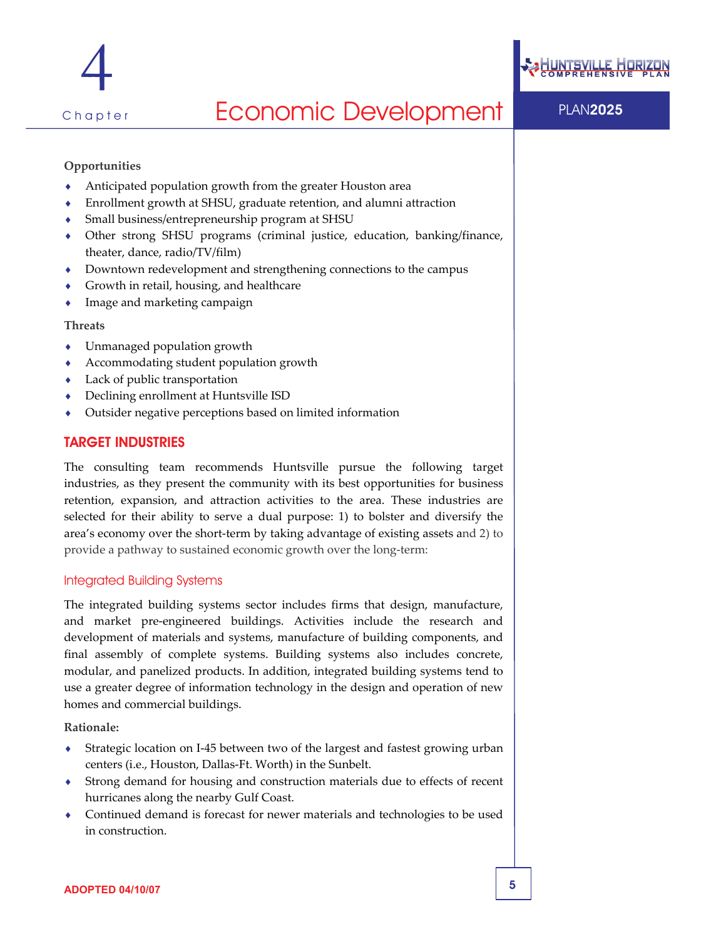



#### **Opportunities**

- Anticipated population growth from the greater Houston area
- Enrollment growth at SHSU, graduate retention, and alumni attraction
- Small business/entrepreneurship program at SHSU
- Other strong SHSU programs (criminal justice, education, banking/finance, theater, dance, radio/TV/film)
- ♦ Downtown redevelopment and strengthening connections to the campus
- Growth in retail, housing, and healthcare
- Image and marketing campaign

#### **Threats**

- Unmanaged population growth
- Accommodating student population growth
- Lack of public transportation
- Declining enrollment at Huntsville ISD
- Outsider negative perceptions based on limited information

#### TARGET INDUSTRIES

The consulting team recommends Huntsville pursue the following target industries, as they present the community with its best opportunities for business retention, expansion, and attraction activities to the area. These industries are selected for their ability to serve a dual purpose: 1) to bolster and diversify the area's economy over the short-term by taking advantage of existing assets and 2) to provide a pathway to sustained economic growth over the long‐term:

#### Integrated Building Systems

The integrated building systems sector includes firms that design, manufacture, and market pre‐engineered buildings. Activities include the research and development of materials and systems, manufacture of building components, and final assembly of complete systems. Building systems also includes concrete, modular, and panelized products. In addition, integrated building systems tend to use a greater degree of information technology in the design and operation of new homes and commercial buildings.

**Rationale:**

- Strategic location on I-45 between two of the largest and fastest growing urban centers (i.e., Houston, Dallas‐Ft. Worth) in the Sunbelt.
- Strong demand for housing and construction materials due to effects of recent hurricanes along the nearby Gulf Coast.
- Continued demand is forecast for newer materials and technologies to be used in construction.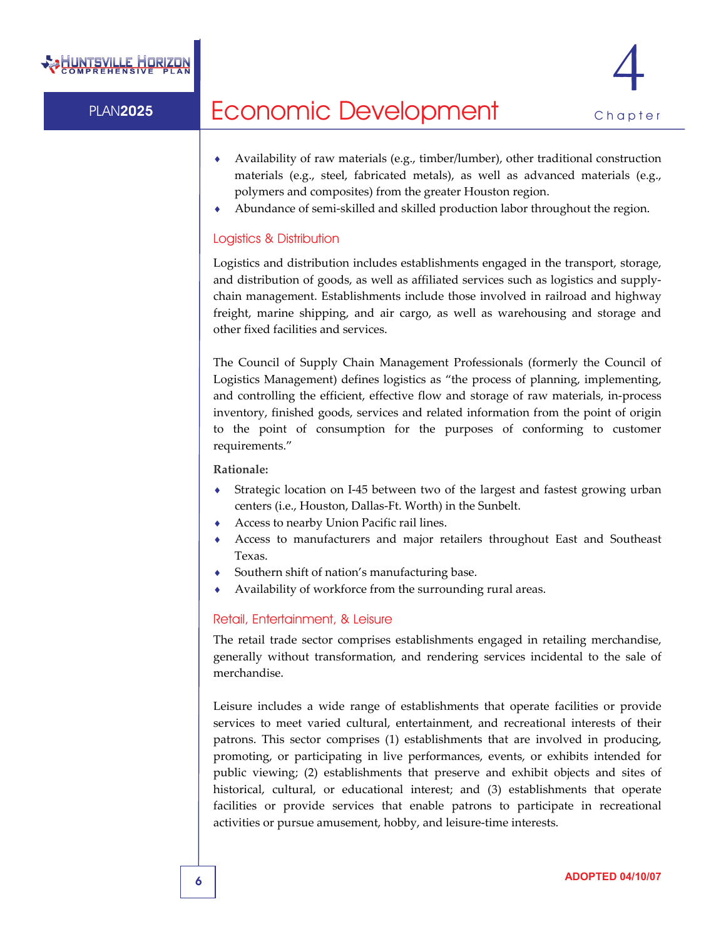

- Availability of raw materials (e.g., timber/lumber), other traditional construction materials (e.g., steel, fabricated metals), as well as advanced materials (e.g., polymers and composites) from the greater Houston region.
- Abundance of semi-skilled and skilled production labor throughout the region.

#### Logistics & Distribution

Logistics and distribution includes establishments engaged in the transport, storage, and distribution of goods, as well as affiliated services such as logistics and supply‐ chain management. Establishments include those involved in railroad and highway freight, marine shipping, and air cargo, as well as warehousing and storage and other fixed facilities and services.

The Council of Supply Chain Management Professionals (formerly the Council of Logistics Management) defines logistics as "the process of planning, implementing, and controlling the efficient, effective flow and storage of raw materials, in‐process inventory, finished goods, services and related information from the point of origin to the point of consumption for the purposes of conforming to customer requirements."

**Rationale:**

- ◆ Strategic location on I-45 between two of the largest and fastest growing urban centers (i.e., Houston, Dallas‐Ft. Worth) in the Sunbelt.
- Access to nearby Union Pacific rail lines.
- Access to manufacturers and major retailers throughout East and Southeast Texas.
- Southern shift of nation's manufacturing base.
- Availability of workforce from the surrounding rural areas.

#### Retail, Entertainment, & Leisure

The retail trade sector comprises establishments engaged in retailing merchandise, generally without transformation, and rendering services incidental to the sale of merchandise.

Leisure includes a wide range of establishments that operate facilities or provide services to meet varied cultural, entertainment, and recreational interests of their patrons. This sector comprises (1) establishments that are involved in producing, promoting, or participating in live performances, events, or exhibits intended for public viewing; (2) establishments that preserve and exhibit objects and sites of historical, cultural, or educational interest; and (3) establishments that operate facilities or provide services that enable patrons to participate in recreational activities or pursue amusement, hobby, and leisure‐time interests.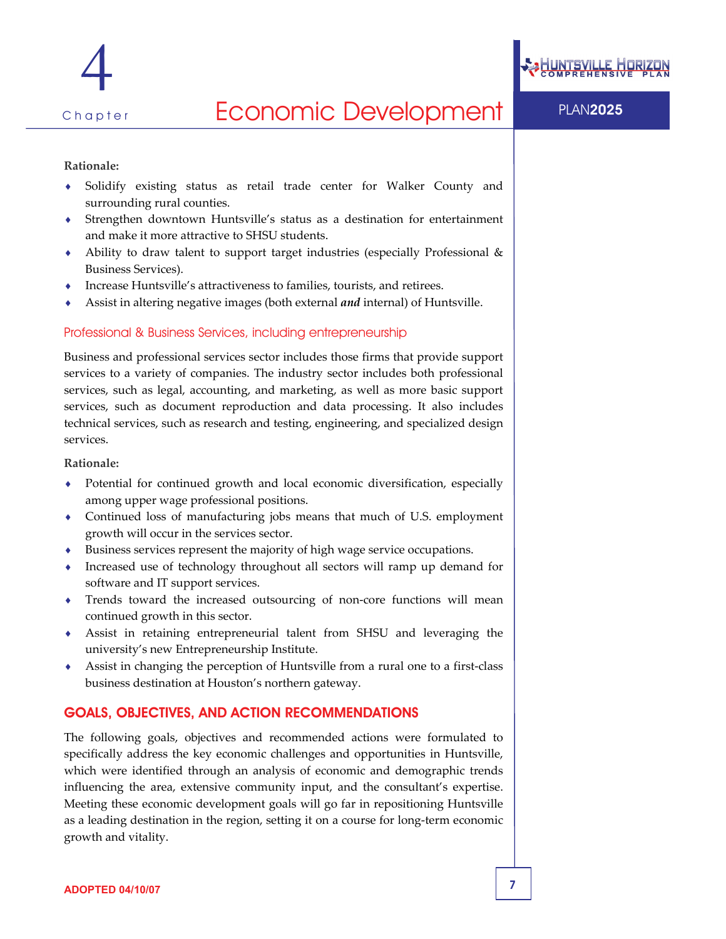

#### **Rationale:**

- Solidify existing status as retail trade center for Walker County and surrounding rural counties.
- ♦ Strengthen downtown Huntsville's status as a destination for entertainment and make it more attractive to SHSU students.
- Ability to draw talent to support target industries (especially Professional & Business Services).
- Increase Huntsville's attractiveness to families, tourists, and retirees.
- Assist in altering negative images (both external *and* internal) of Huntsville.

#### Professional & Business Services, including entrepreneurship

Business and professional services sector includes those firms that provide support services to a variety of companies. The industry sector includes both professional services, such as legal, accounting, and marketing, as well as more basic support services, such as document reproduction and data processing. It also includes technical services, such as research and testing, engineering, and specialized design services.

#### **Rationale:**

- Potential for continued growth and local economic diversification, especially among upper wage professional positions.
- Continued loss of manufacturing jobs means that much of U.S. employment growth will occur in the services sector.
- Business services represent the majority of high wage service occupations.
- Increased use of technology throughout all sectors will ramp up demand for software and IT support services.
- Trends toward the increased outsourcing of non-core functions will mean continued growth in this sector.
- ♦ Assist in retaining entrepreneurial talent from SHSU and leveraging the university's new Entrepreneurship Institute.
- Assist in changing the perception of Huntsville from a rural one to a first-class business destination at Houston's northern gateway.

### GOALS, OBJECTIVES, AND ACTION RECOMMENDATIONS

The following goals, objectives and recommended actions were formulated to specifically address the key economic challenges and opportunities in Huntsville, which were identified through an analysis of economic and demographic trends influencing the area, extensive community input, and the consultant's expertise. Meeting these economic development goals will go far in repositioning Huntsville as a leading destination in the region, setting it on a course for long-term economic growth and vitality.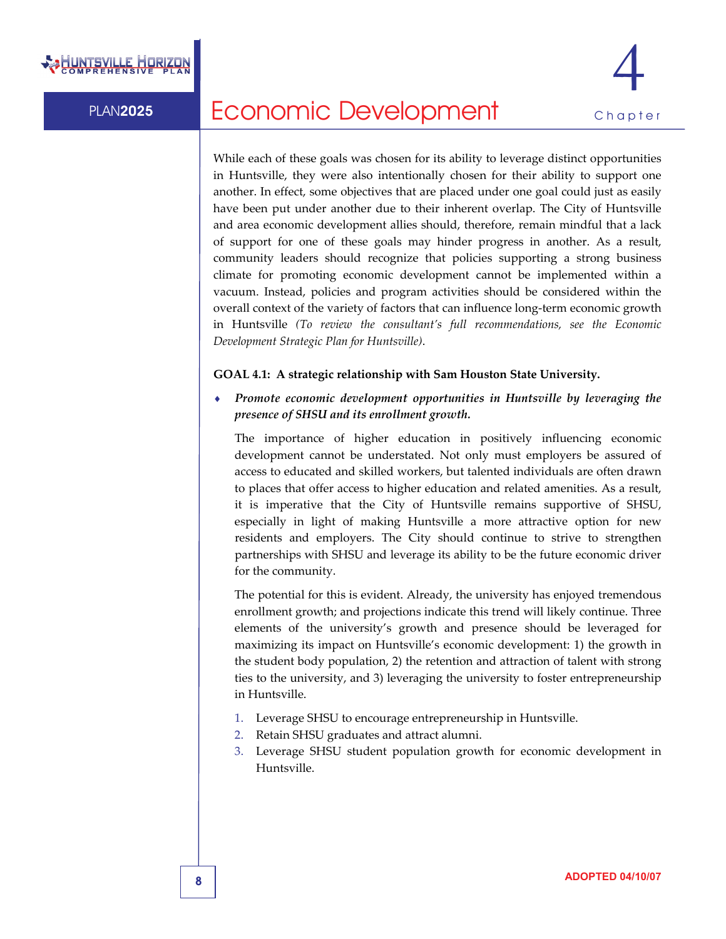



While each of these goals was chosen for its ability to leverage distinct opportunities in Huntsville, they were also intentionally chosen for their ability to support one another. In effect, some objectives that are placed under one goal could just as easily have been put under another due to their inherent overlap. The City of Huntsville and area economic development allies should, therefore, remain mindful that a lack of support for one of these goals may hinder progress in another. As a result, community leaders should recognize that policies supporting a strong business climate for promoting economic development cannot be implemented within a vacuum. Instead, policies and program activities should be considered within the overall context of the variety of factors that can influence long-term economic growth in Huntsville *(To review the consultant's full recommendations, see the Economic Development Strategic Plan for Huntsville)*.

#### **GOAL 4.1: A strategic relationship with Sam Houston State University.**

♦ *Promote economic development opportunities in Huntsville by leveraging the presence of SHSU and its enrollment growth.* 

The importance of higher education in positively influencing economic development cannot be understated. Not only must employers be assured of access to educated and skilled workers, but talented individuals are often drawn to places that offer access to higher education and related amenities. As a result, it is imperative that the City of Huntsville remains supportive of SHSU, especially in light of making Huntsville a more attractive option for new residents and employers. The City should continue to strive to strengthen partnerships with SHSU and leverage its ability to be the future economic driver for the community.

The potential for this is evident. Already, the university has enjoyed tremendous enrollment growth; and projections indicate this trend will likely continue. Three elements of the university's growth and presence should be leveraged for maximizing its impact on Huntsville's economic development: 1) the growth in the student body population, 2) the retention and attraction of talent with strong ties to the university, and 3) leveraging the university to foster entrepreneurship in Huntsville.

- 1. Leverage SHSU to encourage entrepreneurship in Huntsville.
- 2. Retain SHSU graduates and attract alumni.
- 3. Leverage SHSU student population growth for economic development in Huntsville.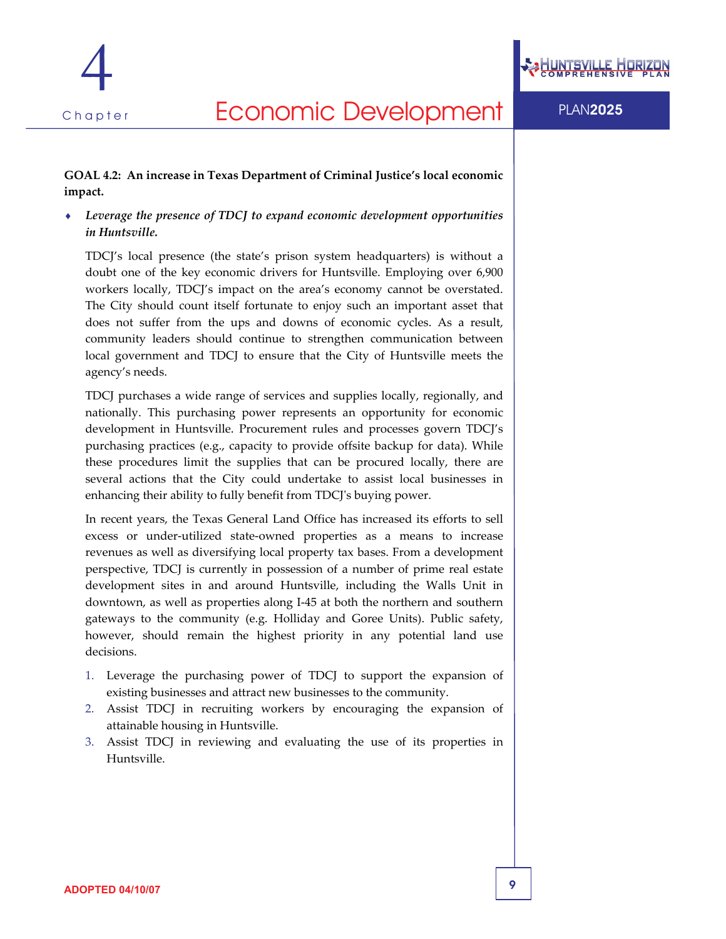

## Chapter **Economic Development** PLAN2025

#### **GOAL 4.2: An increase in Texas Department of Criminal Justice's local economic impact.**

♦ *Leverage the presence of TDCJ to expand economic development opportunities in Huntsville.*

TDCJ's local presence (the state's prison system headquarters) is without a doubt one of the key economic drivers for Huntsville. Employing over 6,900 workers locally, TDCJ's impact on the area's economy cannot be overstated. The City should count itself fortunate to enjoy such an important asset that does not suffer from the ups and downs of economic cycles. As a result, community leaders should continue to strengthen communication between local government and TDCJ to ensure that the City of Huntsville meets the agency's needs.

TDCJ purchases a wide range of services and supplies locally, regionally, and nationally. This purchasing power represents an opportunity for economic development in Huntsville. Procurement rules and processes govern TDCJ's purchasing practices (e.g., capacity to provide offsite backup for data). While these procedures limit the supplies that can be procured locally, there are several actions that the City could undertake to assist local businesses in enhancing their ability to fully benefit from TDCJʹs buying power.

In recent years, the Texas General Land Office has increased its efforts to sell excess or under‐utilized state‐owned properties as a means to increase revenues as well as diversifying local property tax bases. From a development perspective, TDCJ is currently in possession of a number of prime real estate development sites in and around Huntsville, including the Walls Unit in downtown, as well as properties along I‐45 at both the northern and southern gateways to the community (e.g. Holliday and Goree Units). Public safety, however, should remain the highest priority in any potential land use decisions.

- 1. Leverage the purchasing power of TDCJ to support the expansion of existing businesses and attract new businesses to the community.
- 2. Assist TDCJ in recruiting workers by encouraging the expansion of attainable housing in Huntsville.
- 3. Assist TDCJ in reviewing and evaluating the use of its properties in Huntsville.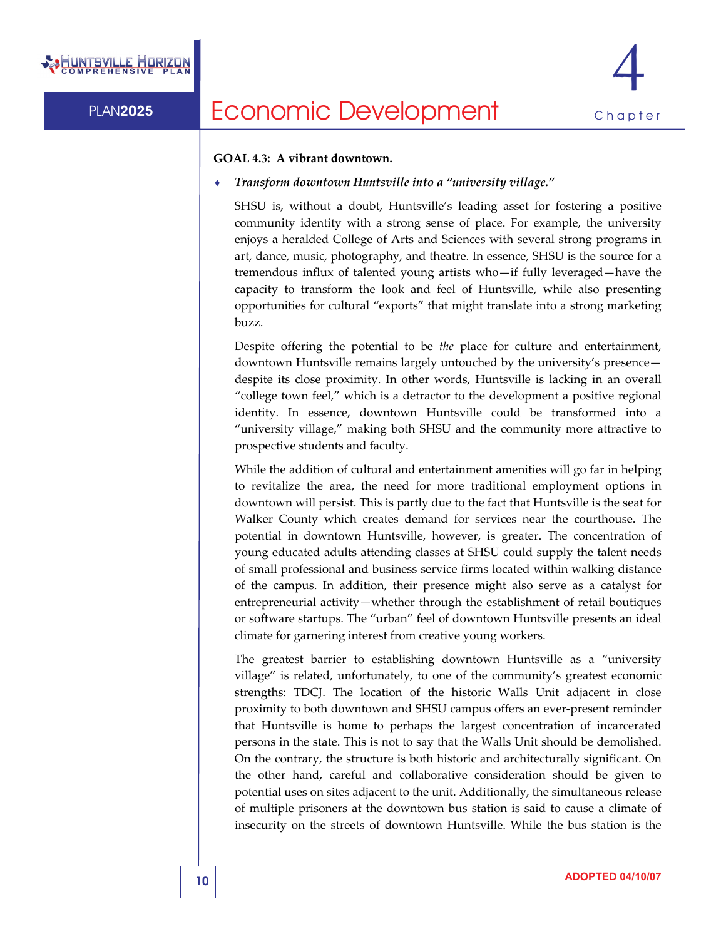



#### **GOAL 4.3: A vibrant downtown.**

#### ♦ *Transform downtown Huntsville into a "university village."*

SHSU is, without a doubt, Huntsville's leading asset for fostering a positive community identity with a strong sense of place. For example, the university enjoys a heralded College of Arts and Sciences with several strong programs in art, dance, music, photography, and theatre. In essence, SHSU is the source for a tremendous influx of talented young artists who—if fully leveraged—have the capacity to transform the look and feel of Huntsville, while also presenting opportunities for cultural "exports" that might translate into a strong marketing buzz.

Despite offering the potential to be *the* place for culture and entertainment, downtown Huntsville remains largely untouched by the university's presence despite its close proximity. In other words, Huntsville is lacking in an overall "college town feel," which is a detractor to the development a positive regional identity. In essence, downtown Huntsville could be transformed into a "university village," making both SHSU and the community more attractive to prospective students and faculty.

While the addition of cultural and entertainment amenities will go far in helping to revitalize the area, the need for more traditional employment options in downtown will persist. This is partly due to the fact that Huntsville is the seat for Walker County which creates demand for services near the courthouse. The potential in downtown Huntsville, however, is greater. The concentration of young educated adults attending classes at SHSU could supply the talent needs of small professional and business service firms located within walking distance of the campus. In addition, their presence might also serve as a catalyst for entrepreneurial activity—whether through the establishment of retail boutiques or software startups. The "urban" feel of downtown Huntsville presents an ideal climate for garnering interest from creative young workers.

The greatest barrier to establishing downtown Huntsville as a "university village" is related, unfortunately, to one of the community's greatest economic strengths: TDCJ. The location of the historic Walls Unit adjacent in close proximity to both downtown and SHSU campus offers an ever‐present reminder that Huntsville is home to perhaps the largest concentration of incarcerated persons in the state. This is not to say that the Walls Unit should be demolished. On the contrary, the structure is both historic and architecturally significant. On the other hand, careful and collaborative consideration should be given to potential uses on sites adjacent to the unit. Additionally, the simultaneous release of multiple prisoners at the downtown bus station is said to cause a climate of insecurity on the streets of downtown Huntsville. While the bus station is the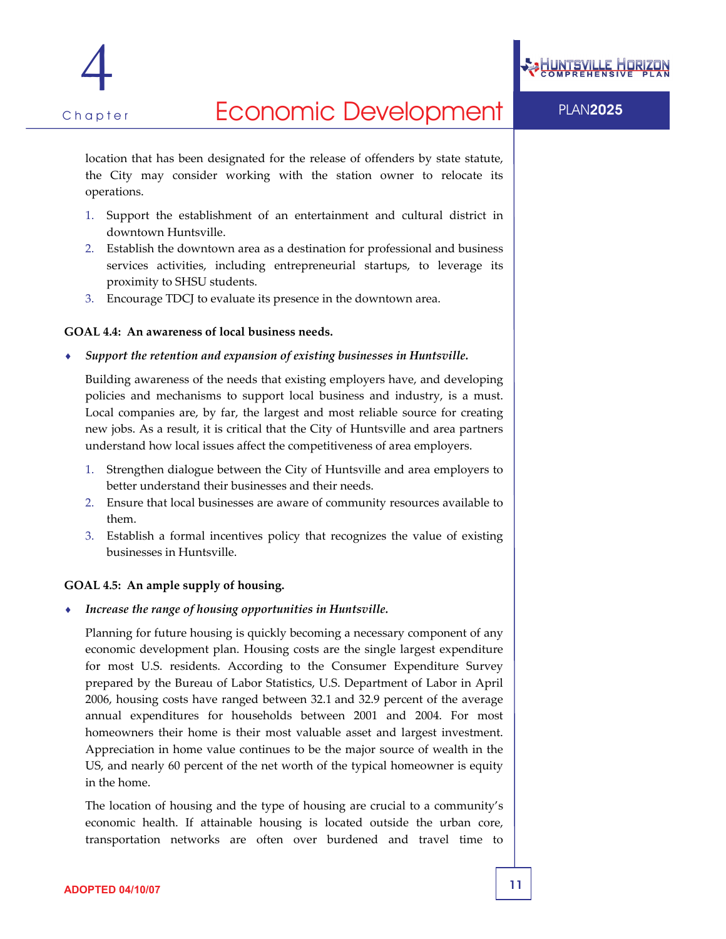



## Chapter **Economic Development** PLAN2025

location that has been designated for the release of offenders by state statute, the City may consider working with the station owner to relocate its operations.

- 1. Support the establishment of an entertainment and cultural district in downtown Huntsville.
- 2. Establish the downtown area as a destination for professional and business services activities, including entrepreneurial startups, to leverage its proximity to SHSU students.
- 3. Encourage TDCJ to evaluate its presence in the downtown area.

#### **GOAL 4.4: An awareness of local business needs.**

♦ *Support the retention and expansion of existing businesses in Huntsville.*

Building awareness of the needs that existing employers have, and developing policies and mechanisms to support local business and industry, is a must. Local companies are, by far, the largest and most reliable source for creating new jobs. As a result, it is critical that the City of Huntsville and area partners understand how local issues affect the competitiveness of area employers.

- 1. Strengthen dialogue between the City of Huntsville and area employers to better understand their businesses and their needs.
- 2. Ensure that local businesses are aware of community resources available to them.
- 3. Establish a formal incentives policy that recognizes the value of existing businesses in Huntsville.

#### **GOAL 4.5: An ample supply of housing.**

♦ *Increase the range of housing opportunities in Huntsville.*

Planning for future housing is quickly becoming a necessary component of any economic development plan. Housing costs are the single largest expenditure for most U.S. residents. According to the Consumer Expenditure Survey prepared by the Bureau of Labor Statistics, U.S. Department of Labor in April 2006, housing costs have ranged between 32.1 and 32.9 percent of the average annual expenditures for households between 2001 and 2004. For most homeowners their home is their most valuable asset and largest investment. Appreciation in home value continues to be the major source of wealth in the US, and nearly 60 percent of the net worth of the typical homeowner is equity in the home.

The location of housing and the type of housing are crucial to a community's economic health. If attainable housing is located outside the urban core, transportation networks are often over burdened and travel time to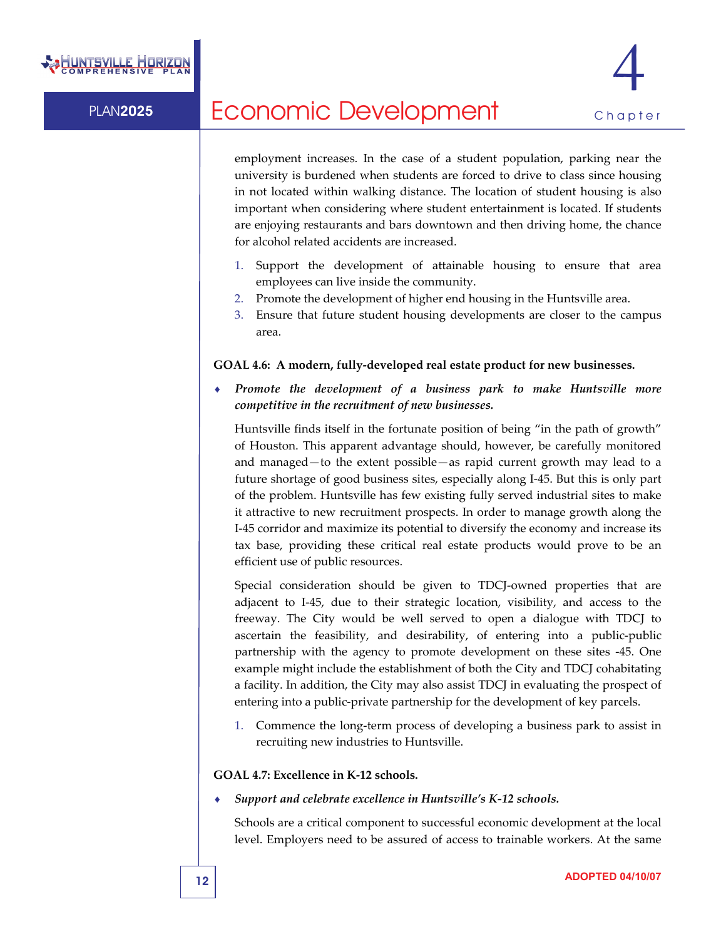

employment increases. In the case of a student population, parking near the university is burdened when students are forced to drive to class since housing in not located within walking distance. The location of student housing is also important when considering where student entertainment is located. If students are enjoying restaurants and bars downtown and then driving home, the chance for alcohol related accidents are increased.

- 1. Support the development of attainable housing to ensure that area employees can live inside the community.
- 2. Promote the development of higher end housing in the Huntsville area.
- 3. Ensure that future student housing developments are closer to the campus area.

#### **GOAL 4.6: A modern, fully‐developed real estate product for new businesses.**

♦ *Promote the development of a business park to make Huntsville more competitive in the recruitment of new businesses.*

Huntsville finds itself in the fortunate position of being "in the path of growth" of Houston. This apparent advantage should, however, be carefully monitored and managed—to the extent possible—as rapid current growth may lead to a future shortage of good business sites, especially along I‐45. But this is only part of the problem. Huntsville has few existing fully served industrial sites to make it attractive to new recruitment prospects. In order to manage growth along the I‐45 corridor and maximize its potential to diversify the economy and increase its tax base, providing these critical real estate products would prove to be an efficient use of public resources.

Special consideration should be given to TDCJ-owned properties that are adjacent to I‐45, due to their strategic location, visibility, and access to the freeway. The City would be well served to open a dialogue with TDCJ to ascertain the feasibility, and desirability, of entering into a public‐public partnership with the agency to promote development on these sites ‐45. One example might include the establishment of both the City and TDCJ cohabitating a facility. In addition, the City may also assist TDCJ in evaluating the prospect of entering into a public‐private partnership for the development of key parcels.

1. Commence the long‐term process of developing a business park to assist in recruiting new industries to Huntsville.

#### **GOAL 4.7: Excellence in K‐12 schools.**

♦ *Support and celebrate excellence in Huntsville's K‐12 schools.* 

Schools are a critical component to successful economic development at the local level. Employers need to be assured of access to trainable workers. At the same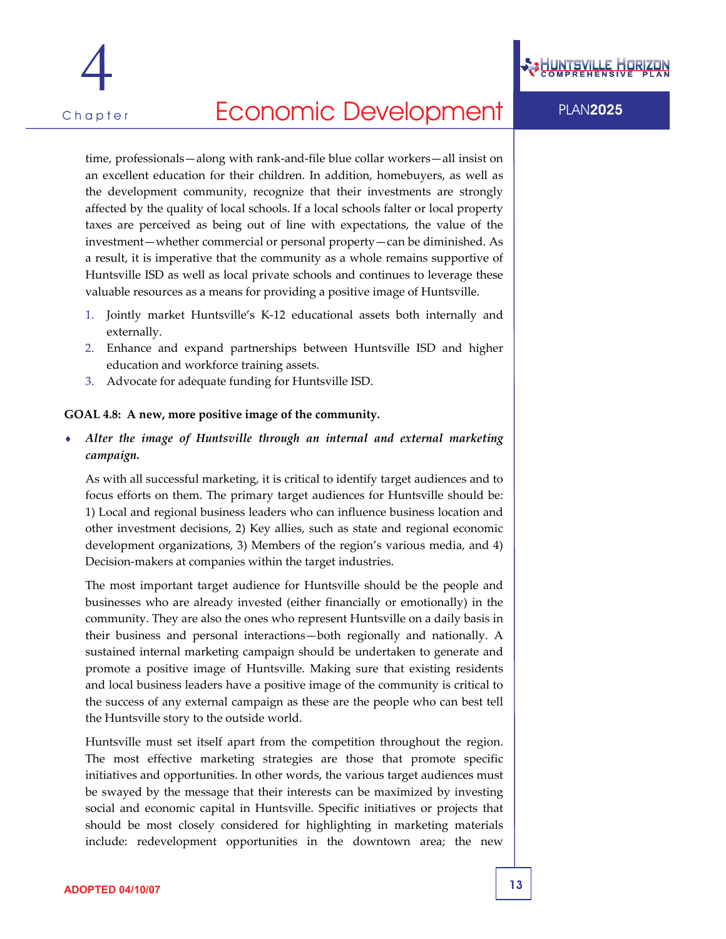



## Chapter **Economic Development** PLAN2025

time, professionals—along with rank‐and‐file blue collar workers—all insist on an excellent education for their children. In addition, homebuyers, as well as the development community, recognize that their investments are strongly affected by the quality of local schools. If a local schools falter or local property taxes are perceived as being out of line with expectations, the value of the investment—whether commercial or personal property—can be diminished. As a result, it is imperative that the community as a whole remains supportive of Huntsville ISD as well as local private schools and continues to leverage these valuable resources as a means for providing a positive image of Huntsville.

- 1. Jointly market Huntsville's K‐12 educational assets both internally and externally.
- 2. Enhance and expand partnerships between Huntsville ISD and higher education and workforce training assets.
- 3. Advocate for adequate funding for Huntsville ISD.

#### **GOAL 4.8: A new, more positive image of the community.**

♦ *Alter the image of Huntsville through an internal and external marketing campaign.*

As with all successful marketing, it is critical to identify target audiences and to focus efforts on them. The primary target audiences for Huntsville should be: 1) Local and regional business leaders who can influence business location and other investment decisions, 2) Key allies, such as state and regional economic development organizations, 3) Members of the region's various media, and 4) Decision-makers at companies within the target industries.

The most important target audience for Huntsville should be the people and businesses who are already invested (either financially or emotionally) in the community. They are also the ones who represent Huntsville on a daily basis in their business and personal interactions—both regionally and nationally. A sustained internal marketing campaign should be undertaken to generate and promote a positive image of Huntsville. Making sure that existing residents and local business leaders have a positive image of the community is critical to the success of any external campaign as these are the people who can best tell the Huntsville story to the outside world.

Huntsville must set itself apart from the competition throughout the region. The most effective marketing strategies are those that promote specific initiatives and opportunities. In other words, the various target audiences must be swayed by the message that their interests can be maximized by investing social and economic capital in Huntsville. Specific initiatives or projects that should be most closely considered for highlighting in marketing materials include: redevelopment opportunities in the downtown area; the new